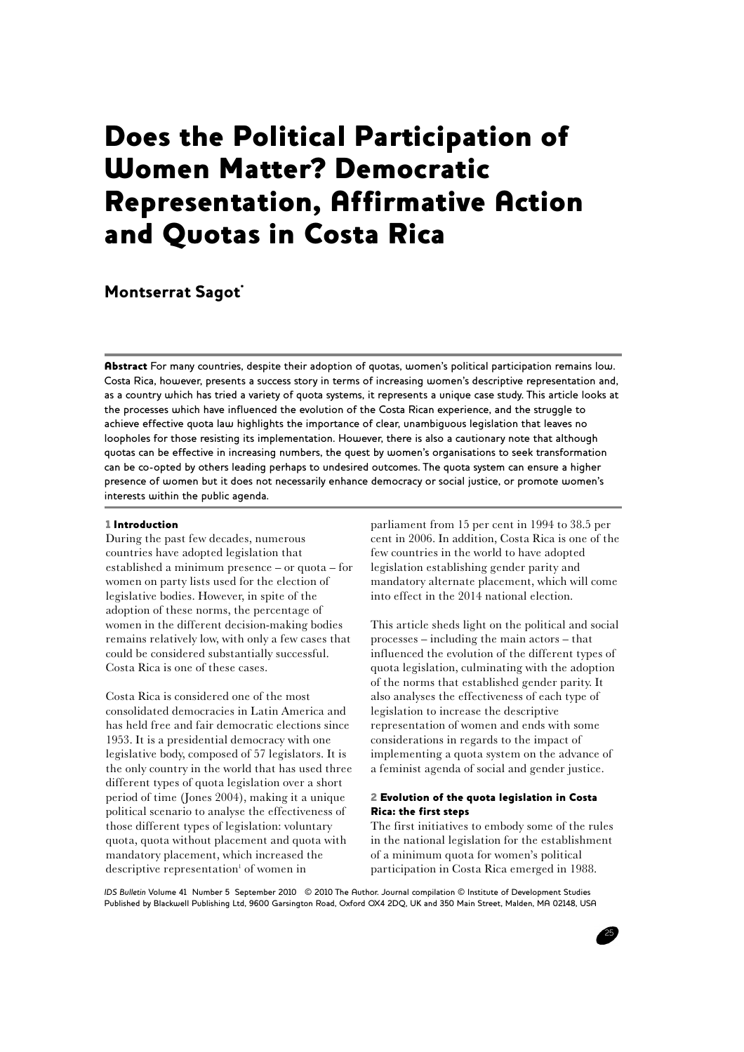# Does the Political Participation of Women Matter? Democratic Representation, Affirmative Action and Quotas in Costa Rica

Montserrat Sagot\*

Abstract For many countries, despite their adoption of quotas, women's political participation remains low. Costa Rica, however, presents a success story in terms of increasing women's descriptive representation and, as a country which has tried a variety of quota systems, it represents a unique case study. This article looks at the processes which have influenced the evolution of the Costa Rican experience, and the struggle to achieve effective quota law highlights the importance of clear, unambiguous legislation that leaves no loopholes for those resisting its implementation. However, there is also a cautionary note that although quotas can be effective in increasing numbers, the quest by women's organisations to seek transformation can be co-opted by others leading perhaps to undesired outcomes. The quota system can ensure a higher presence of women but it does not necessarily enhance democracy or social justice, or promote women's interests within the public agenda.

## 1 Introduction

During the past few decades, numerous countries have adopted legislation that established a minimum presence – or quota – for women on party lists used for the election of legislative bodies. However, in spite of the adoption of these norms, the percentage of women in the different decision-making bodies remains relatively low, with only a few cases that could be considered substantially successful. Costa Rica is one of these cases.

Costa Rica is considered one of the most consolidated democracies in Latin America and has held free and fair democratic elections since 1953. It is a presidential democracy with one legislative body, composed of 57 legislators. It is the only country in the world that has used three different types of quota legislation over a short period of time (Jones 2004), making it a unique political scenario to analyse the effectiveness of those different types of legislation: voluntary quota, quota without placement and quota with mandatory placement, which increased the descriptive representation<sup>1</sup> of women in

parliament from 15 per cent in 1994 to 38.5 per cent in 2006. In addition, Costa Rica is one of the few countries in the world to have adopted legislation establishing gender parity and mandatory alternate placement, which will come into effect in the 2014 national election.

This article sheds light on the political and social processes – including the main actors – that influenced the evolution of the different types of quota legislation, culminating with the adoption of the norms that established gender parity. It also analyses the effectiveness of each type of legislation to increase the descriptive representation of women and ends with some considerations in regards to the impact of implementing a quota system on the advance of a feminist agenda of social and gender justice.

# 2 Evolution of the quota legislation in Costa Rica: the first steps

The first initiatives to embody some of the rules in the national legislation for the establishment of a minimum quota for women's political participation in Costa Rica emerged in 1988.

*IDS Bulletin* Volume 41 Number 5 September 2010 © 2010 The Author. Journal compilation © Institute of Development Studies Published by Blackwell Publishing Ltd, 9600 Garsington Road, Oxford OX4 2DQ, UK and 350 Main Street, Malden, MA 02148, USA

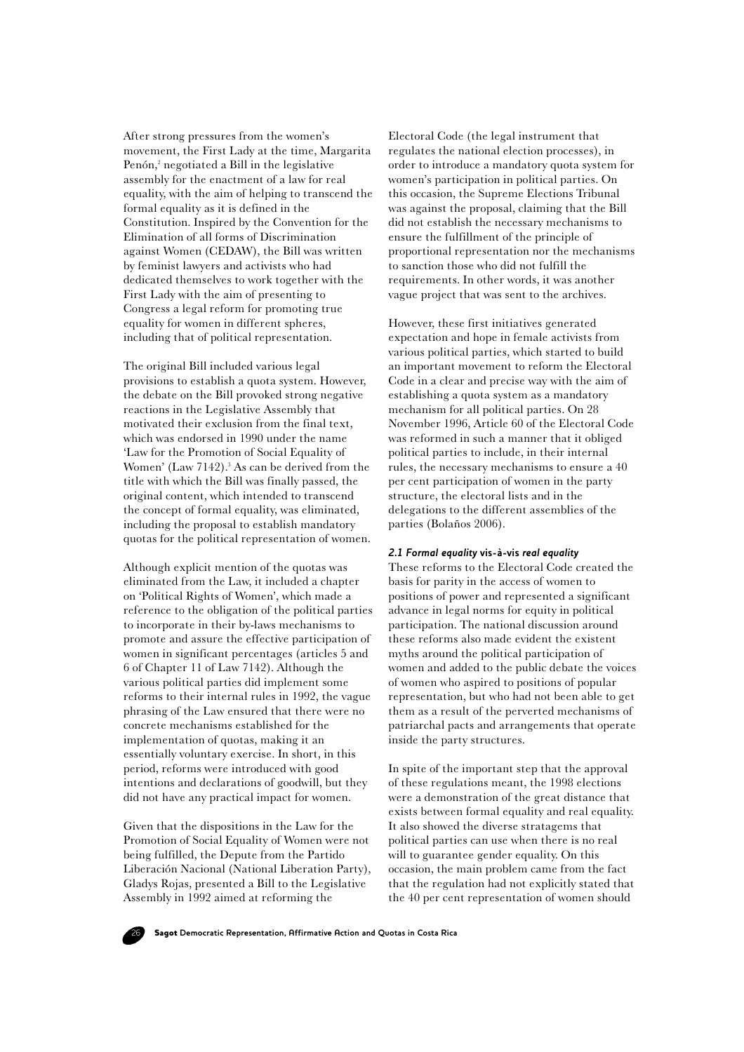After strong pressures from the women's movement, the First Lady at the time, Margarita Penón,<sup>2</sup> negotiated a Bill in the legislative assembly for the enactment of a law for real equality, with the aim of helping to transcend the formal equality as it is defined in the Constitution. Inspired by the Convention for the Elimination of all forms of Discrimination against Women (CEDAW), the Bill was written by feminist lawyers and activists who had dedicated themselves to work together with the First Lady with the aim of presenting to Congress a legal reform for promoting true equality for women in different spheres, including that of political representation.

The original Bill included various legal provisions to establish a quota system. However, the debate on the Bill provoked strong negative reactions in the Legislative Assembly that motivated their exclusion from the final text, which was endorsed in 1990 under the name 'Law for the Promotion of Social Equality of Women' (Law  $7142$ ).<sup>3</sup> As can be derived from the title with which the Bill was finally passed, the original content, which intended to transcend the concept of formal equality, was eliminated, including the proposal to establish mandatory quotas for the political representation of women.

Although explicit mention of the quotas was eliminated from the Law, it included a chapter on 'Political Rights of Women', which made a reference to the obligation of the political parties to incorporate in their by-laws mechanisms to promote and assure the effective participation of women in significant percentages (articles 5 and 6 of Chapter 11 of Law 7142). Although the various political parties did implement some reforms to their internal rules in 1992, the vague phrasing of the Law ensured that there were no concrete mechanisms established for the implementation of quotas, making it an essentially voluntary exercise. In short, in this period, reforms were introduced with good intentions and declarations of goodwill, but they did not have any practical impact for women.

Given that the dispositions in the Law for the Promotion of Social Equality of Women were not being fulfilled, the Depute from the Partido Liberación Nacional (National Liberation Party), Gladys Rojas, presented a Bill to the Legislative Assembly in 1992 aimed at reforming the

Electoral Code (the legal instrument that regulates the national election processes), in order to introduce a mandatory quota system for women's participation in political parties. On this occasion, the Supreme Elections Tribunal was against the proposal, claiming that the Bill did not establish the necessary mechanisms to ensure the fulfillment of the principle of proportional representation nor the mechanisms to sanction those who did not fulfill the requirements. In other words, it was another vague project that was sent to the archives.

However, these first initiatives generated expectation and hope in female activists from various political parties, which started to build an important movement to reform the Electoral Code in a clear and precise way with the aim of establishing a quota system as a mandatory mechanism for all political parties. On 28 November 1996, Article 60 of the Electoral Code was reformed in such a manner that it obliged political parties to include, in their internal rules, the necessary mechanisms to ensure a 40 per cent participation of women in the party structure, the electoral lists and in the delegations to the different assemblies of the parties (Bolaños 2006).

### *2.1 Formal equality* **vis-à-vis** *real equality*

These reforms to the Electoral Code created the basis for parity in the access of women to positions of power and represented a significant advance in legal norms for equity in political participation. The national discussion around these reforms also made evident the existent myths around the political participation of women and added to the public debate the voices of women who aspired to positions of popular representation, but who had not been able to get them as a result of the perverted mechanisms of patriarchal pacts and arrangements that operate inside the party structures.

In spite of the important step that the approval of these regulations meant, the 1998 elections were a demonstration of the great distance that exists between formal equality and real equality. It also showed the diverse stratagems that political parties can use when there is no real will to guarantee gender equality. On this occasion, the main problem came from the fact that the regulation had not explicitly stated that the 40 per cent representation of women should

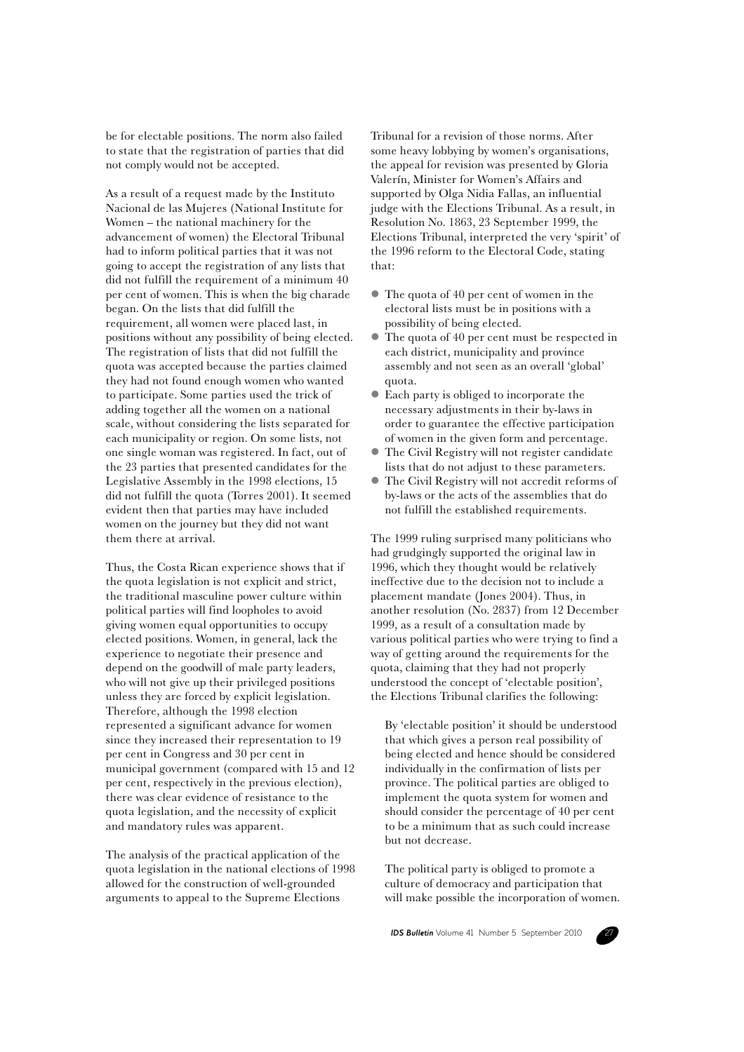be for electable positions. The norm also failed to state that the registration of parties that did not comply would not be accepted.

As a result of a request made by the Instituto Nacional de las Mujeres (National Institute for Women – the national machinery for the advancement of women) the Electoral Tribunal had to inform political parties that it was not going to accept the registration of any lists that did not fulfill the requirement of a minimum 40 per cent of women. This is when the big charade began. On the lists that did fulfill the requirement, all women were placed last, in positions without any possibility of being elected. The registration of lists that did not fulfill the quota was accepted because the parties claimed they had not found enough women who wanted to participate. Some parties used the trick of adding together all the women on a national scale, without considering the lists separated for each municipality or region. On some lists, not one single woman was registered. In fact, out of the 23 parties that presented candidates for the Legislative Assembly in the 1998 elections, 15 did not fulfill the quota (Torres 2001). It seemed evident then that parties may have included women on the journey but they did not want them there at arrival.

Thus, the Costa Rican experience shows that if the quota legislation is not explicit and strict, the traditional masculine power culture within political parties will find loopholes to avoid giving women equal opportunities to occupy elected positions. Women, in general, lack the experience to negotiate their presence and depend on the goodwill of male party leaders, who will not give up their privileged positions unless they are forced by explicit legislation. Therefore, although the 1998 election represented a significant advance for women since they increased their representation to 19 per cent in Congress and 30 per cent in municipal government (compared with 15 and 12 per cent, respectively in the previous election), there was clear evidence of resistance to the quota legislation, and the necessity of explicit and mandatory rules was apparent.

The analysis of the practical application of the quota legislation in the national elections of 1998 allowed for the construction of well-grounded arguments to appeal to the Supreme Elections

Tribunal for a revision of those norms. After some heavy lobbying by women's organisations, the appeal for revision was presented by Gloria Valerín, Minister for Women's Affairs and supported by Olga Nidia Fallas, an influential judge with the Elections Tribunal. As a result, in Resolution No. 1863, 23 September 1999, the Elections Tribunal, interpreted the very 'spirit' of the 1996 reform to the Electoral Code, stating that:

- $\bullet$  The quota of 40 per cent of women in the electoral lists must be in positions with a possibility of being elected.
- $\bullet$  The quota of 40 per cent must be respected in each district, municipality and province assembly and not seen as an overall 'global' quota.
- $\bullet$  Each party is obliged to incorporate the necessary adjustments in their by-laws in order to guarantee the effective participation of women in the given form and percentage.
- $\bullet$  The Civil Registry will not register candidate lists that do not adjust to these parameters.
- $\bullet$  The Civil Registry will not accredit reforms of by-laws or the acts of the assemblies that do not fulfill the established requirements.

The 1999 ruling surprised many politicians who had grudgingly supported the original law in 1996, which they thought would be relatively ineffective due to the decision not to include a placement mandate (Jones 2004). Thus, in another resolution (No. 2837) from 12 December 1999, as a result of a consultation made by various political parties who were trying to find a way of getting around the requirements for the quota, claiming that they had not properly understood the concept of 'electable position', the Elections Tribunal clarifies the following:

By 'electable position' it should be understood that which gives a person real possibility of being elected and hence should be considered individually in the confirmation of lists per province. The political parties are obliged to implement the quota system for women and should consider the percentage of 40 per cent to be a minimum that as such could increase but not decrease.

The political party is obliged to promote a culture of democracy and participation that will make possible the incorporation of women.

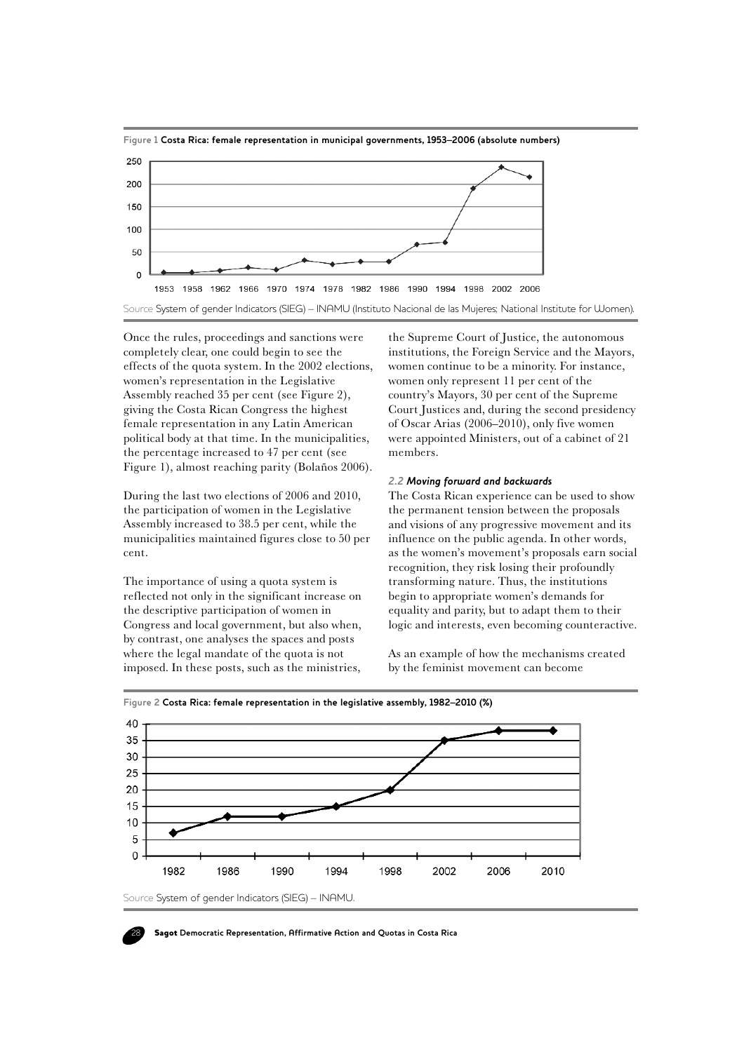

Once the rules, proceedings and sanctions were completely clear, one could begin to see the effects of the quota system. In the 2002 elections, women's representation in the Legislative Assembly reached 35 per cent (see Figure 2), giving the Costa Rican Congress the highest female representation in any Latin American political body at that time. In the municipalities, the percentage increased to 47 per cent (see Figure 1), almost reaching parity (Bolaños 2006).

During the last two elections of 2006 and 2010, the participation of women in the Legislative Assembly increased to 38.5 per cent, while the municipalities maintained figures close to 50 per cent.

The importance of using a quota system is reflected not only in the significant increase on the descriptive participation of women in Congress and local government, but also when, by contrast, one analyses the spaces and posts where the legal mandate of the quota is not imposed. In these posts, such as the ministries,

the Supreme Court of Justice, the autonomous institutions, the Foreign Service and the Mayors, women continue to be a minority. For instance, women only represent 11 per cent of the country's Mayors, 30 per cent of the Supreme Court Justices and, during the second presidency of Oscar Arias (2006–2010), only five women were appointed Ministers, out of a cabinet of 21 members.

#### *2.2 Moving forward and backwards*

The Costa Rican experience can be used to show the permanent tension between the proposals and visions of any progressive movement and its influence on the public agenda. In other words, as the women's movement's proposals earn social recognition, they risk losing their profoundly transforming nature. Thus, the institutions begin to appropriate women's demands for equality and parity, but to adapt them to their logic and interests, even becoming counteractive.

As an example of how the mechanisms created by the feminist movement can become





<sup>28</sup> Sagot **Democratic Representation, Affirmative Action and Quotas in Costa Rica**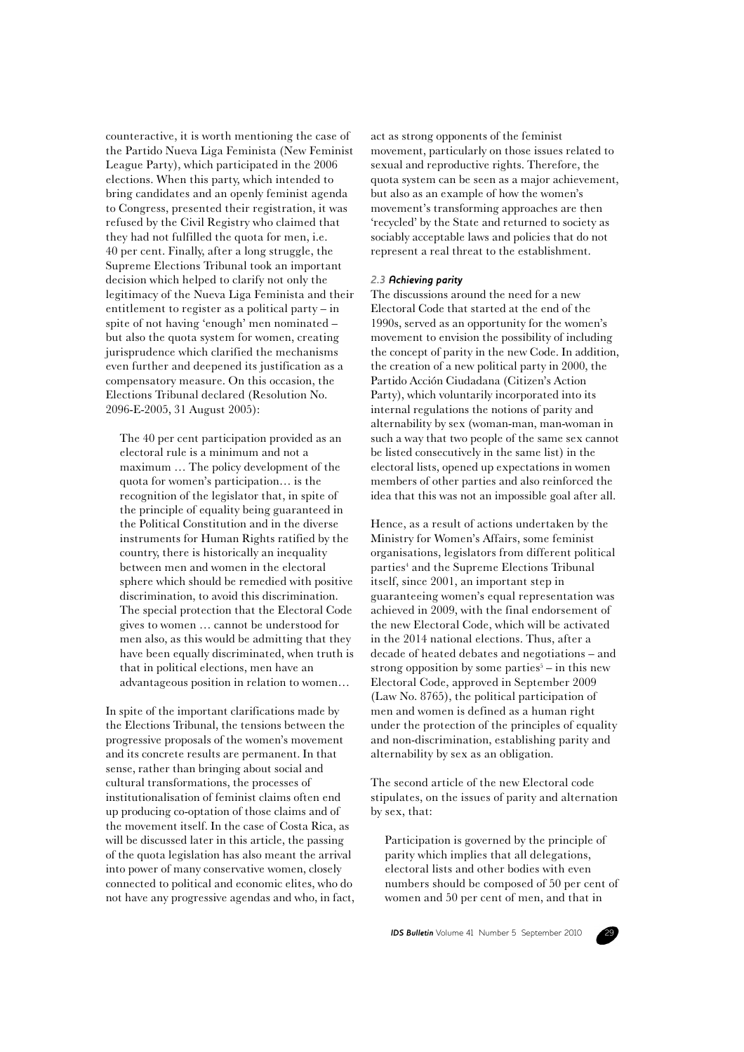counteractive, it is worth mentioning the case of the Partido Nueva Liga Feminista (New Feminist League Party), which participated in the 2006 elections. When this party, which intended to bring candidates and an openly feminist agenda to Congress, presented their registration, it was refused by the Civil Registry who claimed that they had not fulfilled the quota for men, i.e. 40 per cent. Finally, after a long struggle, the Supreme Elections Tribunal took an important decision which helped to clarify not only the legitimacy of the Nueva Liga Feminista and their entitlement to register as a political party – in spite of not having 'enough' men nominated – but also the quota system for women, creating jurisprudence which clarified the mechanisms even further and deepened its justification as a compensatory measure. On this occasion, the Elections Tribunal declared (Resolution No. 2096-E-2005, 31 August 2005):

The 40 per cent participation provided as an electoral rule is a minimum and not a maximum … The policy development of the quota for women's participation… is the recognition of the legislator that, in spite of the principle of equality being guaranteed in the Political Constitution and in the diverse instruments for Human Rights ratified by the country, there is historically an inequality between men and women in the electoral sphere which should be remedied with positive discrimination, to avoid this discrimination. The special protection that the Electoral Code gives to women … cannot be understood for men also, as this would be admitting that they have been equally discriminated, when truth is that in political elections, men have an advantageous position in relation to women…

In spite of the important clarifications made by the Elections Tribunal, the tensions between the progressive proposals of the women's movement and its concrete results are permanent. In that sense, rather than bringing about social and cultural transformations, the processes of institutionalisation of feminist claims often end up producing co-optation of those claims and of the movement itself. In the case of Costa Rica, as will be discussed later in this article, the passing of the quota legislation has also meant the arrival into power of many conservative women, closely connected to political and economic elites, who do not have any progressive agendas and who, in fact, act as strong opponents of the feminist movement, particularly on those issues related to sexual and reproductive rights. Therefore, the quota system can be seen as a major achievement, but also as an example of how the women's movement's transforming approaches are then 'recycled' by the State and returned to society as sociably acceptable laws and policies that do not represent a real threat to the establishment.

#### *2.3 Achieving parity*

The discussions around the need for a new Electoral Code that started at the end of the 1990s, served as an opportunity for the women's movement to envision the possibility of including the concept of parity in the new Code. In addition, the creation of a new political party in 2000, the Partido Acción Ciudadana (Citizen's Action Party), which voluntarily incorporated into its internal regulations the notions of parity and alternability by sex (woman-man, man-woman in such a way that two people of the same sex cannot be listed consecutively in the same list) in the electoral lists, opened up expectations in women members of other parties and also reinforced the idea that this was not an impossible goal after all.

Hence, as a result of actions undertaken by the Ministry for Women's Affairs, some feminist organisations, legislators from different political parties<sup>4</sup> and the Supreme Elections Tribunal itself, since 2001, an important step in guaranteeing women's equal representation was achieved in 2009, with the final endorsement of the new Electoral Code, which will be activated in the 2014 national elections. Thus, after a decade of heated debates and negotiations – and strong opposition by some parties<sup> $5$ </sup> – in this new Electoral Code, approved in September 2009 (Law No. 8765), the political participation of men and women is defined as a human right under the protection of the principles of equality and non-discrimination, establishing parity and alternability by sex as an obligation.

The second article of the new Electoral code stipulates, on the issues of parity and alternation by sex, that:

Participation is governed by the principle of parity which implies that all delegations, electoral lists and other bodies with even numbers should be composed of 50 per cent of women and 50 per cent of men, and that in

**IDS Bulletin** Volume 41 Number 5 September 2010

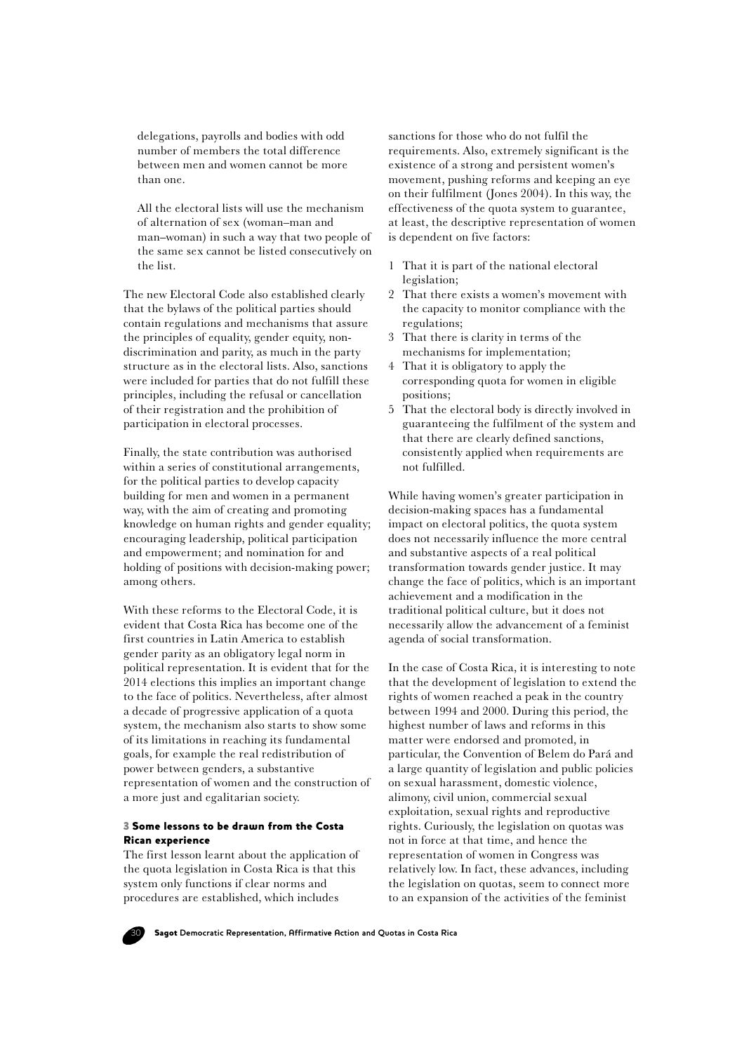delegations, payrolls and bodies with odd number of members the total difference between men and women cannot be more than one.

All the electoral lists will use the mechanism of alternation of sex (woman–man and man–woman) in such a way that two people of the same sex cannot be listed consecutively on the list.

The new Electoral Code also established clearly that the bylaws of the political parties should contain regulations and mechanisms that assure the principles of equality, gender equity, nondiscrimination and parity, as much in the party structure as in the electoral lists. Also, sanctions were included for parties that do not fulfill these principles, including the refusal or cancellation of their registration and the prohibition of participation in electoral processes.

Finally, the state contribution was authorised within a series of constitutional arrangements, for the political parties to develop capacity building for men and women in a permanent way, with the aim of creating and promoting knowledge on human rights and gender equality; encouraging leadership, political participation and empowerment; and nomination for and holding of positions with decision-making power; among others.

With these reforms to the Electoral Code, it is evident that Costa Rica has become one of the first countries in Latin America to establish gender parity as an obligatory legal norm in political representation. It is evident that for the 2014 elections this implies an important change to the face of politics. Nevertheless, after almost a decade of progressive application of a quota system, the mechanism also starts to show some of its limitations in reaching its fundamental goals, for example the real redistribution of power between genders, a substantive representation of women and the construction of a more just and egalitarian society.

## 3 Some lessons to be drawn from the Costa Rican experience

The first lesson learnt about the application of the quota legislation in Costa Rica is that this system only functions if clear norms and procedures are established, which includes

sanctions for those who do not fulfil the requirements. Also, extremely significant is the existence of a strong and persistent women's movement, pushing reforms and keeping an eye on their fulfilment (Jones 2004). In this way, the effectiveness of the quota system to guarantee, at least, the descriptive representation of women is dependent on five factors:

- 1 That it is part of the national electoral legislation;
- 2 That there exists a women's movement with the capacity to monitor compliance with the regulations;
- 3 That there is clarity in terms of the mechanisms for implementation;
- 4 That it is obligatory to apply the corresponding quota for women in eligible positions;
- 5 That the electoral body is directly involved in guaranteeing the fulfilment of the system and that there are clearly defined sanctions, consistently applied when requirements are not fulfilled.

While having women's greater participation in decision-making spaces has a fundamental impact on electoral politics, the quota system does not necessarily influence the more central and substantive aspects of a real political transformation towards gender justice. It may change the face of politics, which is an important achievement and a modification in the traditional political culture, but it does not necessarily allow the advancement of a feminist agenda of social transformation.

In the case of Costa Rica, it is interesting to note that the development of legislation to extend the rights of women reached a peak in the country between 1994 and 2000. During this period, the highest number of laws and reforms in this matter were endorsed and promoted, in particular, the Convention of Belem do Pará and a large quantity of legislation and public policies on sexual harassment, domestic violence, alimony, civil union, commercial sexual exploitation, sexual rights and reproductive rights. Curiously, the legislation on quotas was not in force at that time, and hence the representation of women in Congress was relatively low. In fact, these advances, including the legislation on quotas, seem to connect more to an expansion of the activities of the feminist



**Sagot Democratic Representation, Affirmative Action and Quotas in Costa Rica**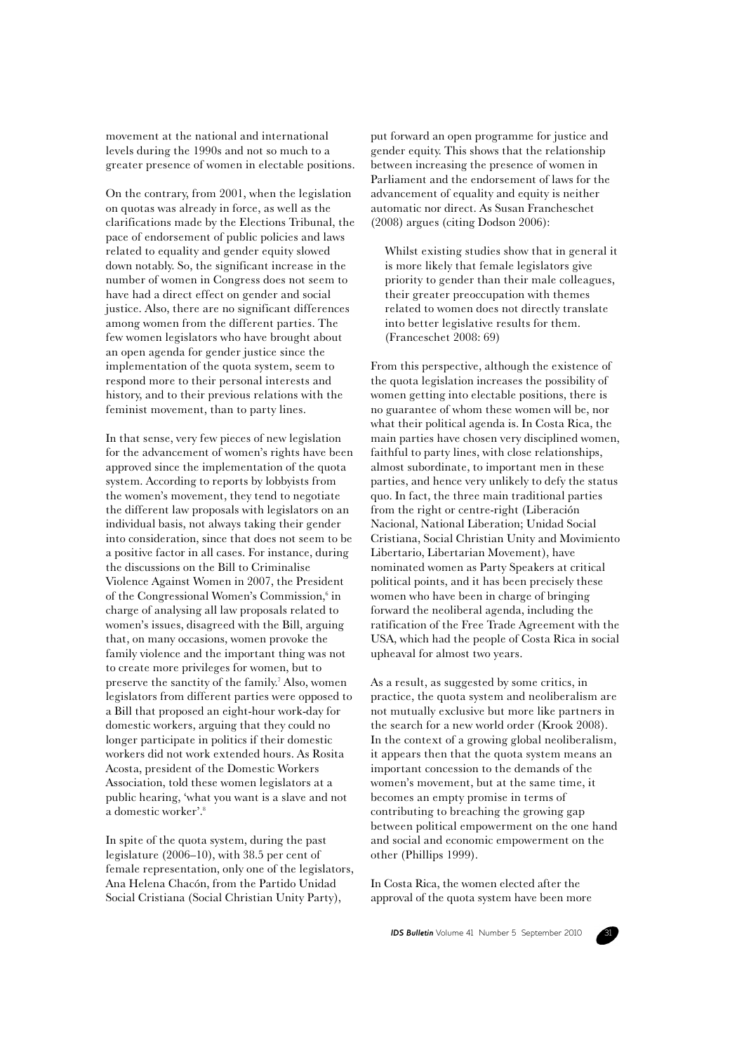movement at the national and international levels during the 1990s and not so much to a greater presence of women in electable positions.

On the contrary, from 2001, when the legislation on quotas was already in force, as well as the clarifications made by the Elections Tribunal, the pace of endorsement of public policies and laws related to equality and gender equity slowed down notably. So, the significant increase in the number of women in Congress does not seem to have had a direct effect on gender and social justice. Also, there are no significant differences among women from the different parties. The few women legislators who have brought about an open agenda for gender justice since the implementation of the quota system, seem to respond more to their personal interests and history, and to their previous relations with the feminist movement, than to party lines.

In that sense, very few pieces of new legislation for the advancement of women's rights have been approved since the implementation of the quota system. According to reports by lobbyists from the women's movement, they tend to negotiate the different law proposals with legislators on an individual basis, not always taking their gender into consideration, since that does not seem to be a positive factor in all cases. For instance, during the discussions on the Bill to Criminalise Violence Against Women in 2007, the President of the Congressional Women's Commission.<sup>6</sup> in charge of analysing all law proposals related to women's issues, disagreed with the Bill, arguing that, on many occasions, women provoke the family violence and the important thing was not to create more privileges for women, but to preserve the sanctity of the family.7 Also, women legislators from different parties were opposed to a Bill that proposed an eight-hour work-day for domestic workers, arguing that they could no longer participate in politics if their domestic workers did not work extended hours. As Rosita Acosta, president of the Domestic Workers Association, told these women legislators at a public hearing, 'what you want is a slave and not a domestic worker'.8

In spite of the quota system, during the past legislature (2006–10), with 38.5 per cent of female representation, only one of the legislators, Ana Helena Chacón, from the Partido Unidad Social Cristiana (Social Christian Unity Party),

put forward an open programme for justice and gender equity. This shows that the relationship between increasing the presence of women in Parliament and the endorsement of laws for the advancement of equality and equity is neither automatic nor direct. As Susan Francheschet (2008) argues (citing Dodson 2006):

Whilst existing studies show that in general it is more likely that female legislators give priority to gender than their male colleagues, their greater preoccupation with themes related to women does not directly translate into better legislative results for them. (Franceschet 2008: 69)

From this perspective, although the existence of the quota legislation increases the possibility of women getting into electable positions, there is no guarantee of whom these women will be, nor what their political agenda is. In Costa Rica, the main parties have chosen very disciplined women, faithful to party lines, with close relationships, almost subordinate, to important men in these parties, and hence very unlikely to defy the status quo. In fact, the three main traditional parties from the right or centre-right (Liberación Nacional, National Liberation; Unidad Social Cristiana, Social Christian Unity and Movimiento Libertario, Libertarian Movement), have nominated women as Party Speakers at critical political points, and it has been precisely these women who have been in charge of bringing forward the neoliberal agenda, including the ratification of the Free Trade Agreement with the USA, which had the people of Costa Rica in social upheaval for almost two years.

As a result, as suggested by some critics, in practice, the quota system and neoliberalism are not mutually exclusive but more like partners in the search for a new world order (Krook 2008). In the context of a growing global neoliberalism, it appears then that the quota system means an important concession to the demands of the women's movement, but at the same time, it becomes an empty promise in terms of contributing to breaching the growing gap between political empowerment on the one hand and social and economic empowerment on the other (Phillips 1999).

In Costa Rica, the women elected after the approval of the quota system have been more

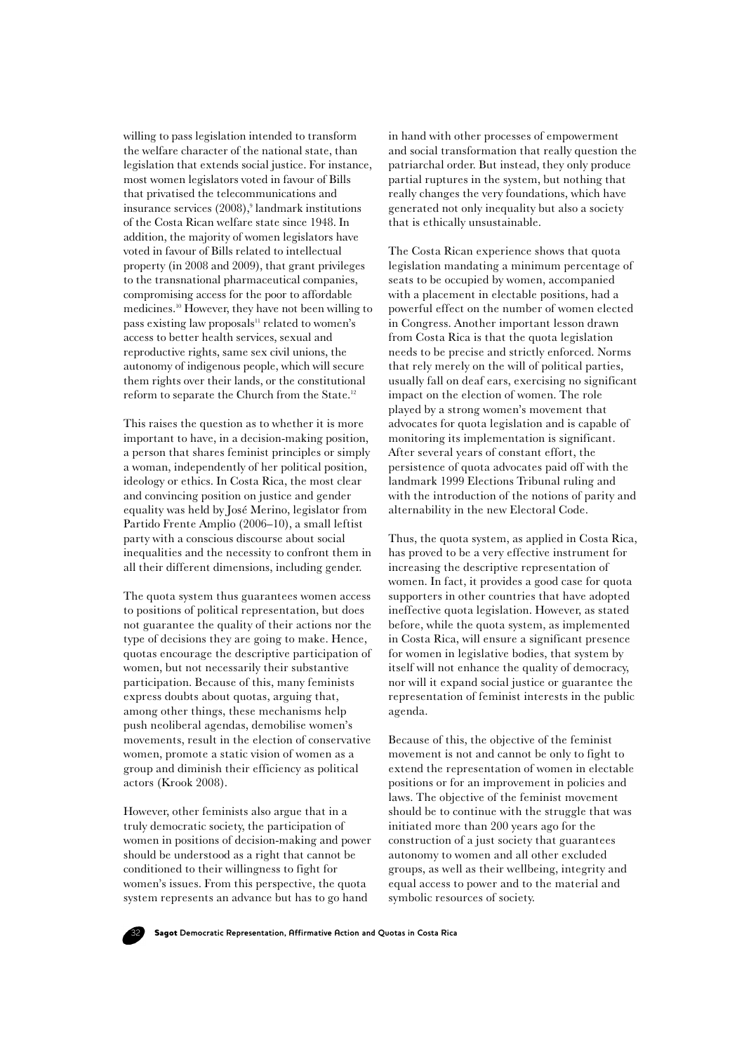willing to pass legislation intended to transform the welfare character of the national state, than legislation that extends social justice. For instance, most women legislators voted in favour of Bills that privatised the telecommunications and insurance services  $(2008)$ ,<sup>9</sup> landmark institutions of the Costa Rican welfare state since 1948. In addition, the majority of women legislators have voted in favour of Bills related to intellectual property (in 2008 and 2009), that grant privileges to the transnational pharmaceutical companies, compromising access for the poor to affordable medicines.10 However, they have not been willing to pass existing law proposals<sup>11</sup> related to women's access to better health services, sexual and reproductive rights, same sex civil unions, the autonomy of indigenous people, which will secure them rights over their lands, or the constitutional reform to separate the Church from the State.12

This raises the question as to whether it is more important to have, in a decision-making position, a person that shares feminist principles or simply a woman, independently of her political position, ideology or ethics. In Costa Rica, the most clear and convincing position on justice and gender equality was held by José Merino, legislator from Partido Frente Amplio (2006–10), a small leftist party with a conscious discourse about social inequalities and the necessity to confront them in all their different dimensions, including gender.

The quota system thus guarantees women access to positions of political representation, but does not guarantee the quality of their actions nor the type of decisions they are going to make. Hence, quotas encourage the descriptive participation of women, but not necessarily their substantive participation. Because of this, many feminists express doubts about quotas, arguing that, among other things, these mechanisms help push neoliberal agendas, demobilise women's movements, result in the election of conservative women, promote a static vision of women as a group and diminish their efficiency as political actors (Krook 2008).

However, other feminists also argue that in a truly democratic society, the participation of women in positions of decision-making and power should be understood as a right that cannot be conditioned to their willingness to fight for women's issues. From this perspective, the quota system represents an advance but has to go hand

in hand with other processes of empowerment and social transformation that really question the patriarchal order. But instead, they only produce partial ruptures in the system, but nothing that really changes the very foundations, which have generated not only inequality but also a society that is ethically unsustainable.

The Costa Rican experience shows that quota legislation mandating a minimum percentage of seats to be occupied by women, accompanied with a placement in electable positions, had a powerful effect on the number of women elected in Congress. Another important lesson drawn from Costa Rica is that the quota legislation needs to be precise and strictly enforced. Norms that rely merely on the will of political parties, usually fall on deaf ears, exercising no significant impact on the election of women. The role played by a strong women's movement that advocates for quota legislation and is capable of monitoring its implementation is significant. After several years of constant effort, the persistence of quota advocates paid off with the landmark 1999 Elections Tribunal ruling and with the introduction of the notions of parity and alternability in the new Electoral Code.

Thus, the quota system, as applied in Costa Rica, has proved to be a very effective instrument for increasing the descriptive representation of women. In fact, it provides a good case for quota supporters in other countries that have adopted ineffective quota legislation. However, as stated before, while the quota system, as implemented in Costa Rica, will ensure a significant presence for women in legislative bodies, that system by itself will not enhance the quality of democracy, nor will it expand social justice or guarantee the representation of feminist interests in the public agenda.

Because of this, the objective of the feminist movement is not and cannot be only to fight to extend the representation of women in electable positions or for an improvement in policies and laws. The objective of the feminist movement should be to continue with the struggle that was initiated more than 200 years ago for the construction of a just society that guarantees autonomy to women and all other excluded groups, as well as their wellbeing, integrity and equal access to power and to the material and symbolic resources of society.

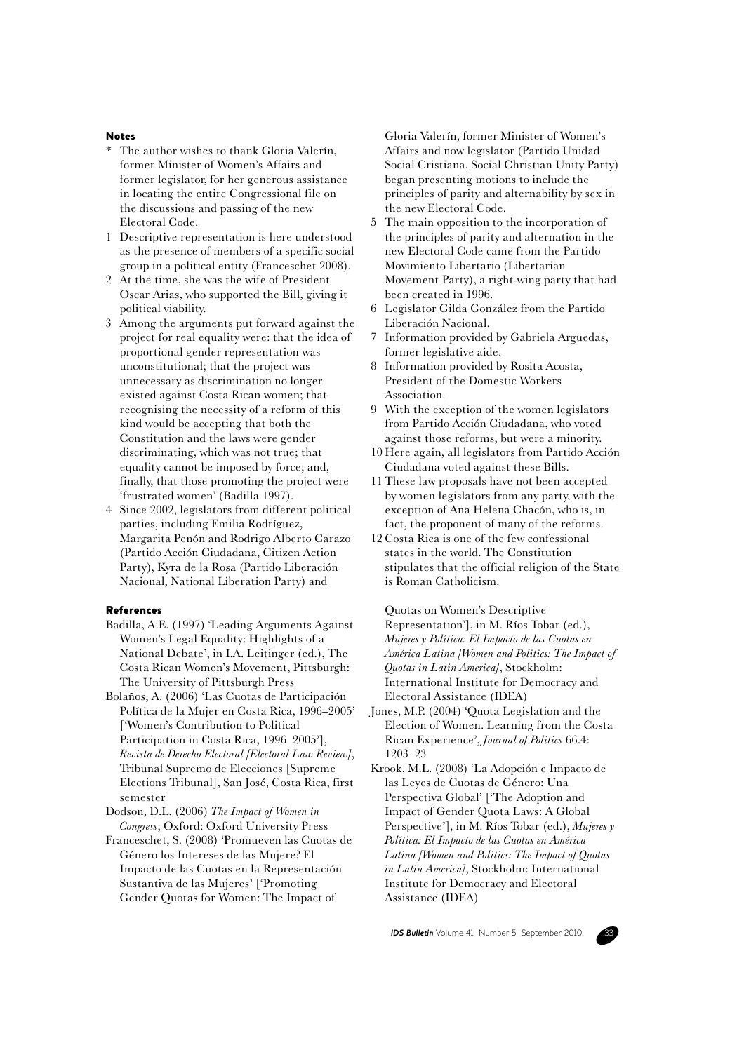#### Notes

- The author wishes to thank Gloria Valerín, former Minister of Women's Affairs and former legislator, for her generous assistance in locating the entire Congressional file on the discussions and passing of the new Electoral Code.
- 1 Descriptive representation is here understood as the presence of members of a specific social group in a political entity (Franceschet 2008).
- 2 At the time, she was the wife of President Oscar Arias, who supported the Bill, giving it political viability.
- 3 Among the arguments put forward against the project for real equality were: that the idea of proportional gender representation was unconstitutional; that the project was unnecessary as discrimination no longer existed against Costa Rican women; that recognising the necessity of a reform of this kind would be accepting that both the Constitution and the laws were gender discriminating, which was not true; that equality cannot be imposed by force; and, finally, that those promoting the project were 'frustrated women' (Badilla 1997).
- 4 Since 2002, legislators from different political parties, including Emilia Rodríguez, Margarita Penón and Rodrigo Alberto Carazo (Partido Acción Ciudadana, Citizen Action Party), Kyra de la Rosa (Partido Liberación Nacional, National Liberation Party) and

#### References

- Badilla, A.E. (1997) 'Leading Arguments Against Women's Legal Equality: Highlights of a National Debate', in I.A. Leitinger (ed.), The Costa Rican Women's Movement, Pittsburgh: The University of Pittsburgh Press
- Bolaños, A. (2006) 'Las Cuotas de Participación Política de la Mujer en Costa Rica, 1996–2005' ['Women's Contribution to Political Participation in Costa Rica, 1996–2005'], *Revista de Derecho Electoral [Electoral Law Review]*, Tribunal Supremo de Elecciones [Supreme Elections Tribunal], San José, Costa Rica, first semester
- Dodson, D.L. (2006) *The Impact of Women in Congress*, Oxford: Oxford University Press
- Franceschet, S. (2008) 'Promueven las Cuotas de Género los Intereses de las Mujere? El Impacto de las Cuotas en la Representación Sustantiva de las Mujeres' ['Promoting Gender Quotas for Women: The Impact of

Gloria Valerín, former Minister of Women's Affairs and now legislator (Partido Unidad Social Cristiana, Social Christian Unity Party) began presenting motions to include the principles of parity and alternability by sex in the new Electoral Code.

- 5 The main opposition to the incorporation of the principles of parity and alternation in the new Electoral Code came from the Partido Movimiento Libertario (Libertarian Movement Party), a right-wing party that had been created in 1996.
- 6 Legislator Gilda González from the Partido Liberación Nacional.
- 7 Information provided by Gabriela Arguedas, former legislative aide.
- 8 Information provided by Rosita Acosta, President of the Domestic Workers Association.
- 9 With the exception of the women legislators from Partido Acción Ciudadana, who voted against those reforms, but were a minority.
- 10 Here again, all legislators from Partido Acción Ciudadana voted against these Bills.
- 11 These law proposals have not been accepted by women legislators from any party, with the exception of Ana Helena Chacón, who is, in fact, the proponent of many of the reforms.
- 12 Costa Rica is one of the few confessional states in the world. The Constitution stipulates that the official religion of the State is Roman Catholicism.

Quotas on Women's Descriptive Representation'], in M. Ríos Tobar (ed.), *Mujeres y Política: El Impacto de las Cuotas en América Latina [Women and Politics: The Impact of Quotas in Latin America]*, Stockholm: International Institute for Democracy and Electoral Assistance (IDEA)

- Jones, M.P. (2004) 'Quota Legislation and the Election of Women. Learning from the Costa Rican Experience', *Journal of Politics* 66.4: 1203–23
- Krook, M.L. (2008) 'La Adopción e Impacto de las Leyes de Cuotas de Género: Una Perspectiva Global' ['The Adoption and Impact of Gender Quota Laws: A Global Perspective'], in M. Ríos Tobar (ed.), *Mujeres y Política: El Impacto de las Cuotas en América Latina [Women and Politics: The Impact of Quotas in Latin America]*, Stockholm: International Institute for Democracy and Electoral Assistance (IDEA)